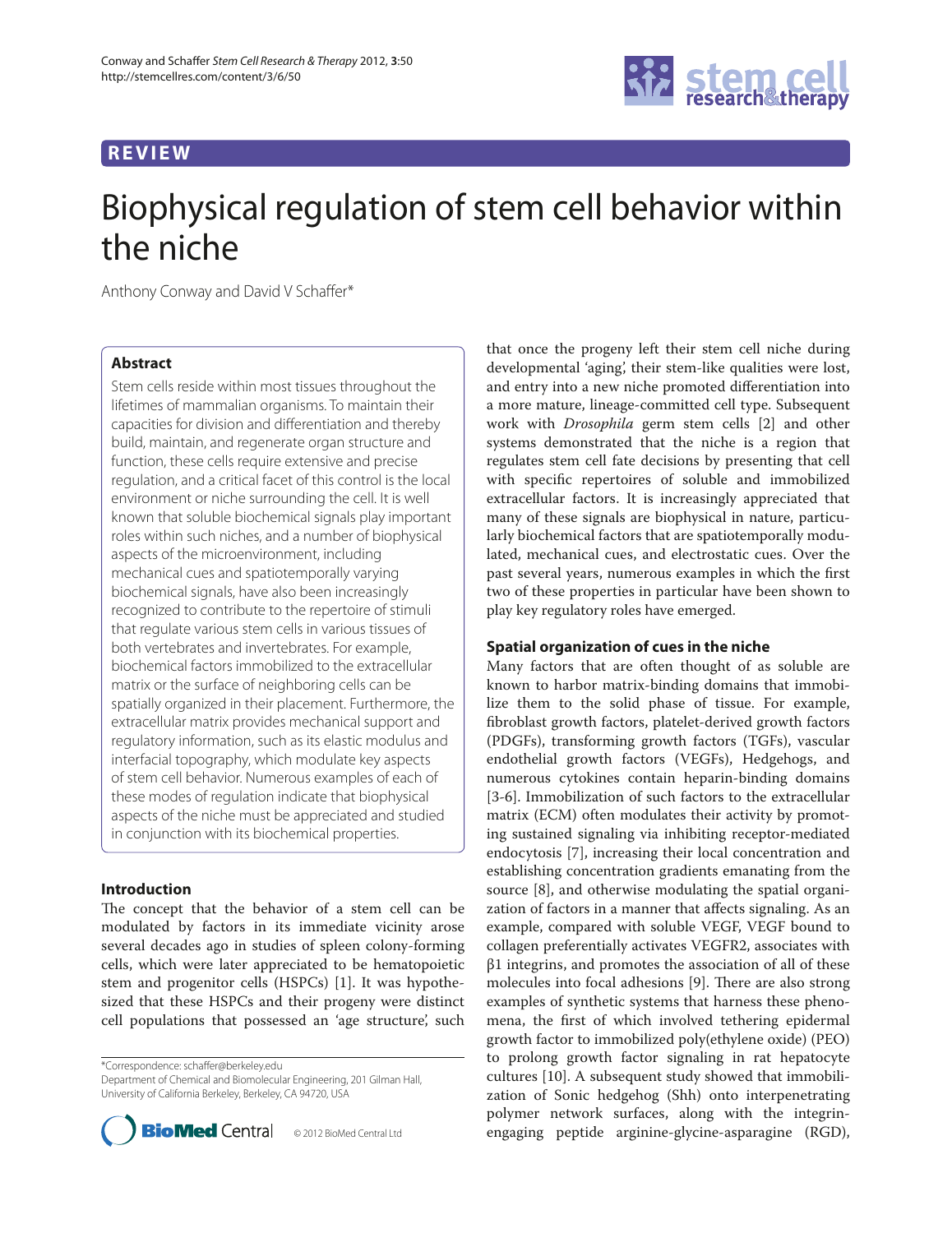## **REVIEW**



# Biophysical regulation of stem cell behavior within the niche

Anthony Conway and David V Schaffer\*

## **Abstract**

Stem cells reside within most tissues throughout the lifetimes of mammalian organisms. To maintain their capacities for division and differentiation and thereby build, maintain, and regenerate organ structure and function, these cells require extensive and precise regulation, and a critical facet of this control is the local environment or niche surrounding the cell. It is well known that soluble biochemical signals play important roles within such niches, and a number of biophysical aspects of the microenvironment, including mechanical cues and spatiotemporally varying biochemical signals, have also been increasingly recognized to contribute to the repertoire of stimuli that regulate various stem cells in various tissues of both vertebrates and invertebrates. For example, biochemical factors immobilized to the extracellular matrix or the surface of neighboring cells can be spatially organized in their placement. Furthermore, the extracellular matrix provides mechanical support and regulatory information, such as its elastic modulus and interfacial topography, which modulate key aspects of stem cell behavior. Numerous examples of each of these modes of regulation indicate that biophysical aspects of the niche must be appreciated and studied in conjunction with its biochemical properties.

## **Introduction**

The concept that the behavior of a stem cell can be modulated by factors in its immediate vicinity arose several decades ago in studies of spleen colony-forming cells, which were later appreciated to be hematopoietic stem and progenitor cells (HSPCs) [1]. It was hypothesized that these HSPCs and their progeny were distinct cell populations that possessed an 'age structure', such

\*Correspondence: schaffer@berkeley.edu

Department of Chemical and Biomolecular Engineering, 201 Gilman Hall, University of California Berkeley, Berkeley, CA 94720, USA



© 2012 BioMed Central Ltd

that once the progeny left their stem cell niche during developmental 'aging', their stem-like qualities were lost, and entry into a new niche promoted differentiation into a more mature, lineage-committed cell type. Subsequent work with *Drosophila* germ stem cells [2] and other systems demonstrated that the niche is a region that regulates stem cell fate decisions by presenting that cell with specific repertoires of soluble and immobilized extracellular factors. It is increasingly appreciated that many of these signals are biophysical in nature, particularly biochemical factors that are spatiotemporally modulated, mechanical cues, and electrostatic cues. Over the past several years, numerous examples in which the first two of these properties in particular have been shown to play key regulatory roles have emerged.

## **Spatial organization of cues in the niche**

Many factors that are often thought of as soluble are known to harbor matrix-binding domains that immobilize them to the solid phase of tissue. For example, fibroblast growth factors, platelet-derived growth factors (PDGFs), transforming growth factors (TGFs), vascular endothelial growth factors (VEGFs), Hedgehogs, and numerous cytokines contain heparin-binding domains [3-6]. Immobilization of such factors to the extracellular matrix (ECM) often modulates their activity by promoting sustained signaling via inhibiting receptor-mediated endocytosis [7], increasing their local concentration and establishing concentration gradients emanating from the source [8], and otherwise modulating the spatial organization of factors in a manner that affects signaling. As an example, compared with soluble VEGF, VEGF bound to collagen preferentially activates VEGFR2, associates with β1 integrins, and promotes the association of all of these molecules into focal adhesions [9]. There are also strong examples of synthetic systems that harness these phenomena, the first of which involved tethering epidermal growth factor to immobilized poly(ethylene oxide) (PEO) to prolong growth factor signaling in rat hepatocyte cultures [10]. A subsequent study showed that immobilization of Sonic hedgehog (Shh) onto interpenetrating polymer network surfaces, along with the integrinengaging peptide arginine-glycine-asparagine (RGD),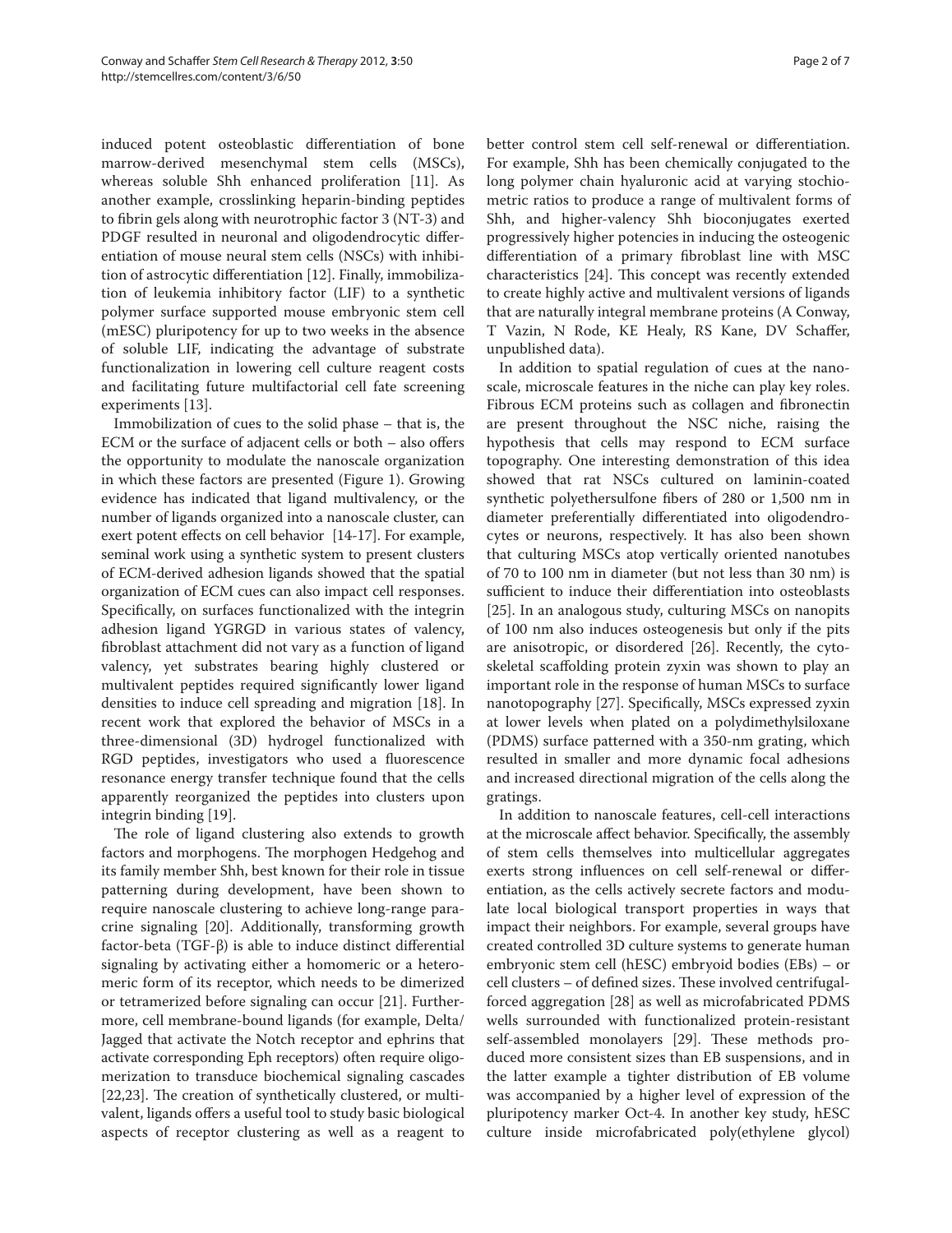induced potent osteoblastic differentiation of bone marrow-derived mesenchymal stem cells (MSCs), whereas soluble Shh enhanced proliferation [11]. As another example, crosslinking heparin-binding peptides to fibrin gels along with neurotrophic factor 3 (NT-3) and PDGF resulted in neuronal and oligodendrocytic differentiation of mouse neural stem cells (NSCs) with inhibition of astrocytic differentiation [12]. Finally, immobilization of leukemia inhibitory factor (LIF) to a synthetic polymer surface supported mouse embryonic stem cell (mESC) pluripotency for up to two weeks in the absence of soluble LIF, indicating the advantage of substrate functionalization in lowering cell culture reagent costs and facilitating future multifactorial cell fate screening experiments [13].

Immobilization of cues to the solid phase – that is, the ECM or the surface of adjacent cells or both  $-$  also offers the opportunity to modulate the nanoscale organization in which these factors are presented (Figure 1). Growing evidence has indicated that ligand multivalency, or the number of ligands organized into a nanoscale cluster, can exert potent effects on cell behavior [14-17]. For example, seminal work using a synthetic system to present clusters of ECM-derived adhesion ligands showed that the spatial organization of ECM cues can also impact cell responses. Specifically, on surfaces functionalized with the integrin adhesion ligand YGRGD in various states of valency, fibroblast attachment did not vary as a function of ligand valency, yet substrates bearing highly clustered or multivalent peptides required significantly lower ligand densities to induce cell spreading and migration [18]. In recent work that explored the behavior of MSCs in a three-dimensional (3D) hydrogel functionalized with RGD peptides, investigators who used a fluorescence resonance energy transfer technique found that the cells apparently reorganized the peptides into clusters upon integrin binding [19].

The role of ligand clustering also extends to growth factors and morphogens. The morphogen Hedgehog and its family member Shh, best known for their role in tissue patterning during development, have been shown to require nanoscale clustering to achieve long-range paracrine signaling [20]. Additionally, transforming growth factor-beta (TGF- $\beta$ ) is able to induce distinct differential signaling by activating either a homomeric or a heteromeric form of its receptor, which needs to be dimerized or tetramerized before signaling can occur [21]. Furthermore, cell membrane-bound ligands (for example, Delta/ Jagged that activate the Notch receptor and ephrins that activate corresponding Eph receptors) often require oligomerization to transduce biochemical signaling cascades [22,23]. The creation of synthetically clustered, or multivalent, ligands offers a useful tool to study basic biological aspects of receptor clustering as well as a reagent to better control stem cell self-renewal or differentiation. For example, Shh has been chemically conjugated to the long polymer chain hyaluronic acid at varying stochiometric ratios to produce a range of multivalent forms of Shh, and higher-valency Shh bioconjugates exerted progressively higher potencies in inducing the osteogenic differentiation of a primary fibroblast line with MSC characteristics [24]. This concept was recently extended to create highly active and multivalent versions of ligands that are naturally integral membrane proteins (A Conway, T Vazin, N Rode, KE Healy, RS Kane, DV Schaffer, unpublished data).

In addition to spatial regulation of cues at the nanoscale, microscale features in the niche can play key roles. Fibrous ECM proteins such as collagen and fibronectin are present throughout the NSC niche, raising the hypothesis that cells may respond to ECM surface topography. One interesting demonstration of this idea showed that rat NSCs cultured on laminin-coated synthetic polyethersulfone fibers of 280 or 1,500 nm in diameter preferentially differentiated into oligodendrocytes or neurons, respectively. It has also been shown that culturing MSCs atop vertically oriented nanotubes of 70 to 100 nm in diameter (but not less than 30 nm) is sufficient to induce their differentiation into osteoblasts [25]. In an analogous study, culturing MSCs on nanopits of 100 nm also induces osteogenesis but only if the pits are anisotropic, or disordered [26]. Recently, the cytoskeletal scaffolding protein zyxin was shown to play an important role in the response of human MSCs to surface nanotopography [27]. Specifically, MSCs expressed zyxin at lower levels when plated on a polydimethylsiloxane (PDMS) surface patterned with a 350-nm grating, which resulted in smaller and more dynamic focal adhesions and increased directional migration of the cells along the gratings.

In addition to nanoscale features, cell-cell interactions at the microscale affect behavior. Specifically, the assembly of stem cells themselves into multicellular aggregates exerts strong influences on cell self-renewal or differentiation, as the cells actively secrete factors and modulate local biological transport properties in ways that impact their neighbors. For example, several groups have created controlled 3D culture systems to generate human embryonic stem cell (hESC) embryoid bodies (EBs) – or cell clusters – of defined sizes. These involved centrifugalforced aggregation [28] as well as microfabricated PDMS wells surrounded with functionalized protein-resistant self-assembled monolayers [29]. These methods produced more consistent sizes than EB suspensions, and in the latter example a tighter distribution of EB volume was accompanied by a higher level of expression of the pluripotency marker Oct-4. In another key study, hESC culture inside microfabricated poly(ethylene glycol)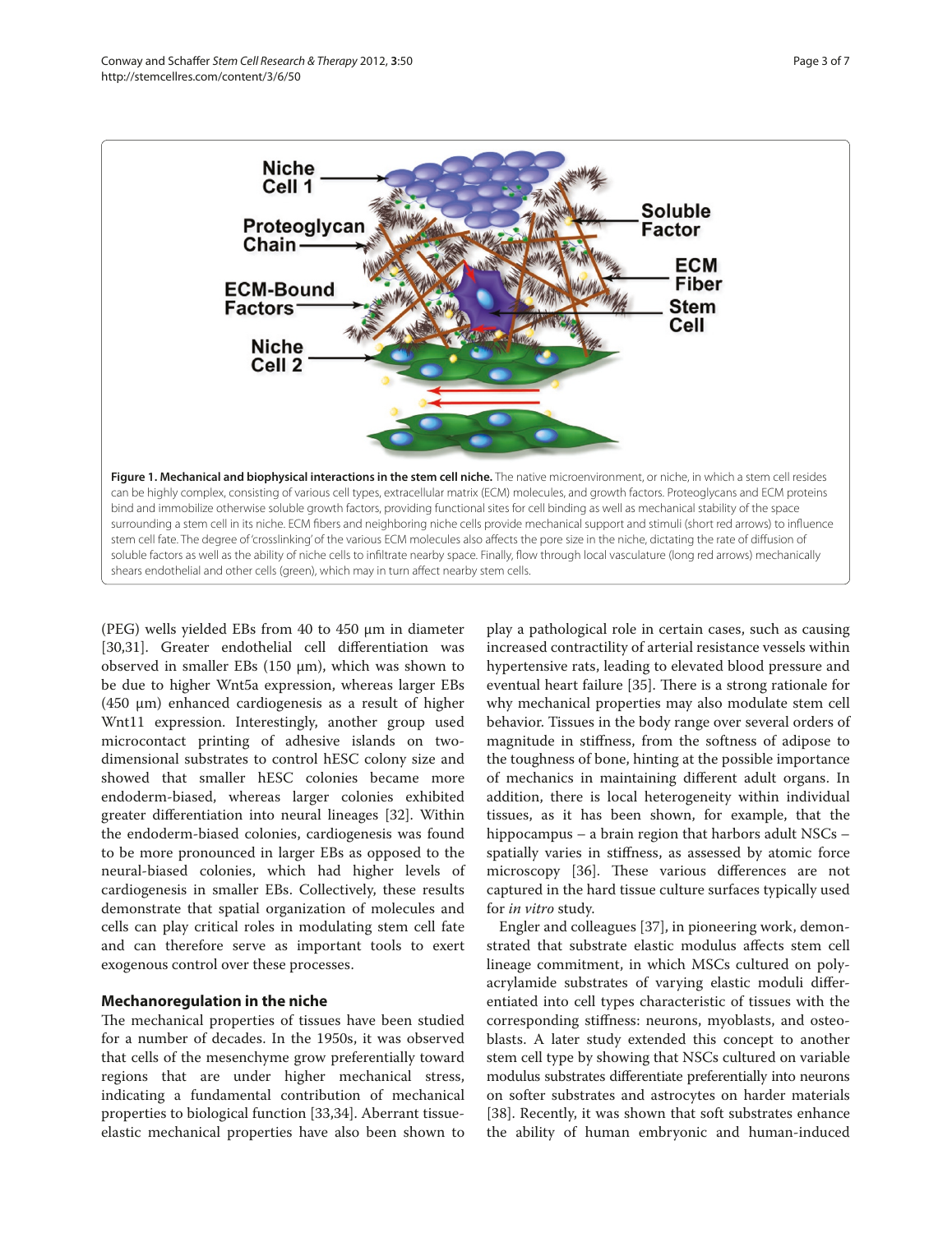

(PEG) wells yielded EBs from 40 to 450 μm in diameter [30,31]. Greater endothelial cell differentiation was observed in smaller EBs (150  $\mu$ m), which was shown to be due to higher Wnt5a expression, whereas larger EBs (450 μm) enhanced cardiogenesis as a result of higher Wnt11 expression. Interestingly, another group used microcontact printing of adhesive islands on twodimensional substrates to control hESC colony size and showed that smaller hESC colonies became more endoderm-biased, whereas larger colonies exhibited greater differentiation into neural lineages [32]. Within the endoderm-biased colonies, cardiogenesis was found to be more pronounced in larger EBs as opposed to the neural-biased colonies, which had higher levels of cardiogenesis in smaller EBs. Collectively, these results demonstrate that spatial organization of molecules and cells can play critical roles in modulating stem cell fate and can therefore serve as important tools to exert exogenous control over these processes.

## **Mechanoregulation in the niche**

The mechanical properties of tissues have been studied for a number of decades. In the 1950s, it was observed that cells of the mesenchyme grow preferentially toward regions that are under higher mechanical stress, indicating a fundamental contribution of mechanical properties to biological function [33,34]. Aberrant tissueelastic mechanical properties have also been shown to

play a pathological role in certain cases, such as causing increased contractility of arterial resistance vessels within hypertensive rats, leading to elevated blood pressure and eventual heart failure [35]. There is a strong rationale for why mechanical properties may also modulate stem cell behavior. Tissues in the body range over several orders of magnitude in stiffness, from the softness of adipose to the toughness of bone, hinting at the possible importance of mechanics in maintaining different adult organs. In addition, there is local heterogeneity within individual tissues, as it has been shown, for example, that the hippocampus – a brain region that harbors adult NSCs – spatially varies in stiffness, as assessed by atomic force microscopy [36]. These various differences are not captured in the hard tissue culture surfaces typically used for *in vitro* study.

Engler and colleagues [37], in pioneering work, demonstrated that substrate elastic modulus affects stem cell lineage commitment, in which MSCs cultured on polyacrylamide substrates of varying elastic moduli differentiated into cell types characteristic of tissues with the corresponding stiffness: neurons, myoblasts, and osteoblasts. A later study extended this concept to another stem cell type by showing that NSCs cultured on variable modulus substrates differentiate preferentially into neurons on softer substrates and astrocytes on harder materials [38]. Recently, it was shown that soft substrates enhance the ability of human embryonic and human-induced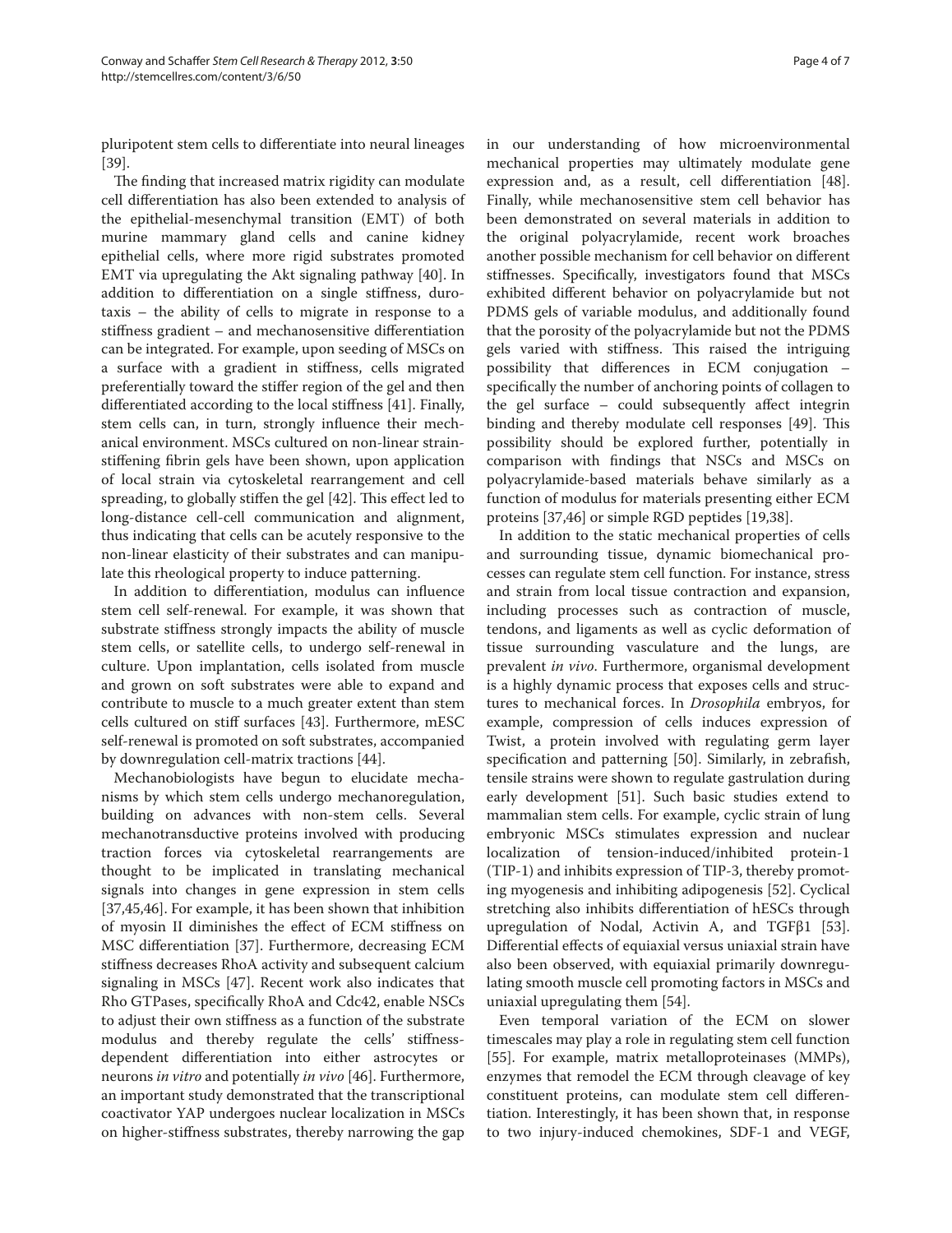pluripotent stem cells to differentiate into neural lineages [39].

The finding that increased matrix rigidity can modulate cell differentiation has also been extended to analysis of the epithelial-mesenchymal transition (EMT) of both murine mammary gland cells and canine kidney epithelial cells, where more rigid substrates promoted EMT via upregulating the Akt signaling pathway [40]. In addition to differentiation on a single stiffness, durotaxis – the ability of cells to migrate in response to a stiffness gradient – and mechanosensitive differentiation can be integrated. For example, upon seeding of MSCs on a surface with a gradient in stiffness, cells migrated preferentially toward the stiffer region of the gel and then differentiated according to the local stiffness [41]. Finally, stem cells can, in turn, strongly influence their mechanical environment. MSCs cultured on non-linear strainstiffening fibrin gels have been shown, upon application of local strain via cytoskeletal rearrangement and cell spreading, to globally stiffen the gel [42]. This effect led to long-distance cell-cell communication and alignment, thus indicating that cells can be acutely responsive to the non-linear elasticity of their substrates and can manipulate this rheological property to induce patterning.

In addition to differentiation, modulus can influence stem cell self-renewal. For example, it was shown that substrate stiffness strongly impacts the ability of muscle stem cells, or satellite cells, to undergo self-renewal in culture. Upon implantation, cells isolated from muscle and grown on soft substrates were able to expand and contribute to muscle to a much greater extent than stem cells cultured on stiff surfaces [43]. Furthermore, mESC self-renewal is promoted on soft substrates, accompanied by downregulation cell-matrix tractions [44].

Mechanobiologists have begun to elucidate mechanisms by which stem cells undergo mechano regulation, building on advances with non-stem cells. Several mechanotransductive proteins involved with producing traction forces via cytoskeletal rearrangements are thought to be implicated in translating mechanical signals into changes in gene expression in stem cells [37,45,46]. For example, it has been shown that inhibition of myosin II diminishes the effect of ECM stiffness on MSC differentiation [37]. Furthermore, decreasing ECM stiffness decreases RhoA activity and subsequent calcium signaling in MSCs [47]. Recent work also indicates that Rho GTPases, specifically RhoA and Cdc42, enable NSCs to adjust their own stiffness as a function of the substrate modulus and thereby regulate the cells' stiffnessdependent differentiation into either astrocytes or neurons *in vitro* and potentially *in vivo* [46]. Furthermore, an important study demonstrated that the transcriptional coactivator YAP undergoes nuclear localization in MSCs on higher-stiffness substrates, thereby narrowing the gap in our understanding of how microenvironmental mechanical properties may ultimately modulate gene expression and, as a result, cell differentiation [48]. Finally, while mechanosensitive stem cell behavior has been demonstrated on several materials in addition to the original polyacrylamide, recent work broaches another possible mechanism for cell behavior on different stiffnesses. Specifically, investigators found that MSCs exhibited different behavior on polyacrylamide but not PDMS gels of variable modulus, and additionally found that the porosity of the polyacrylamide but not the PDMS gels varied with stiffness. This raised the intriguing possibility that differences in ECM conjugation  $$ specifically the number of anchoring points of collagen to the gel surface  $-$  could subsequently affect integrin binding and thereby modulate cell responses [49]. This possibility should be explored further, potentially in comparison with findings that NSCs and MSCs on polyacrylamide-based materials behave similarly as a function of modulus for materials presenting either ECM proteins [37,46] or simple RGD peptides [19,38].

In addition to the static mechanical properties of cells and surrounding tissue, dynamic biomechanical processes can regulate stem cell function. For instance, stress and strain from local tissue contraction and expansion, including processes such as contraction of muscle, tendons, and ligaments as well as cyclic deformation of tissue surrounding vasculature and the lungs, are prevalent *in vivo*. Furthermore, organismal development is a highly dynamic process that exposes cells and structures to mechanical forces. In *Drosophila* embryos, for example, compression of cells induces expression of Twist, a protein involved with regulating germ layer specification and patterning [50]. Similarly, in zebrafish, tensile strains were shown to regulate gastrulation during early development [51]. Such basic studies extend to mammalian stem cells. For example, cyclic strain of lung embryonic MSCs stimulates expression and nuclear localization of tension-induced/inhibited protein-1 (TIP-1) and inhibits expression of TIP-3, thereby promoting myogenesis and inhibiting adipogenesis [52]. Cyclical stretching also inhibits differentiation of hESCs through upregulation of Nodal, Activin A, and TGFβ1 [53]. Differential effects of equiaxial versus uniaxial strain have also been observed, with equiaxial primarily down regulating smooth muscle cell promoting factors in MSCs and uniaxial upregulating them [54].

Even temporal variation of the ECM on slower timescales may play a role in regulating stem cell function [55]. For example, matrix metalloproteinases (MMPs), enzymes that remodel the ECM through cleavage of key constituent proteins, can modulate stem cell differentiation. Interestingly, it has been shown that, in response to two injury-induced chemokines, SDF-1 and VEGF,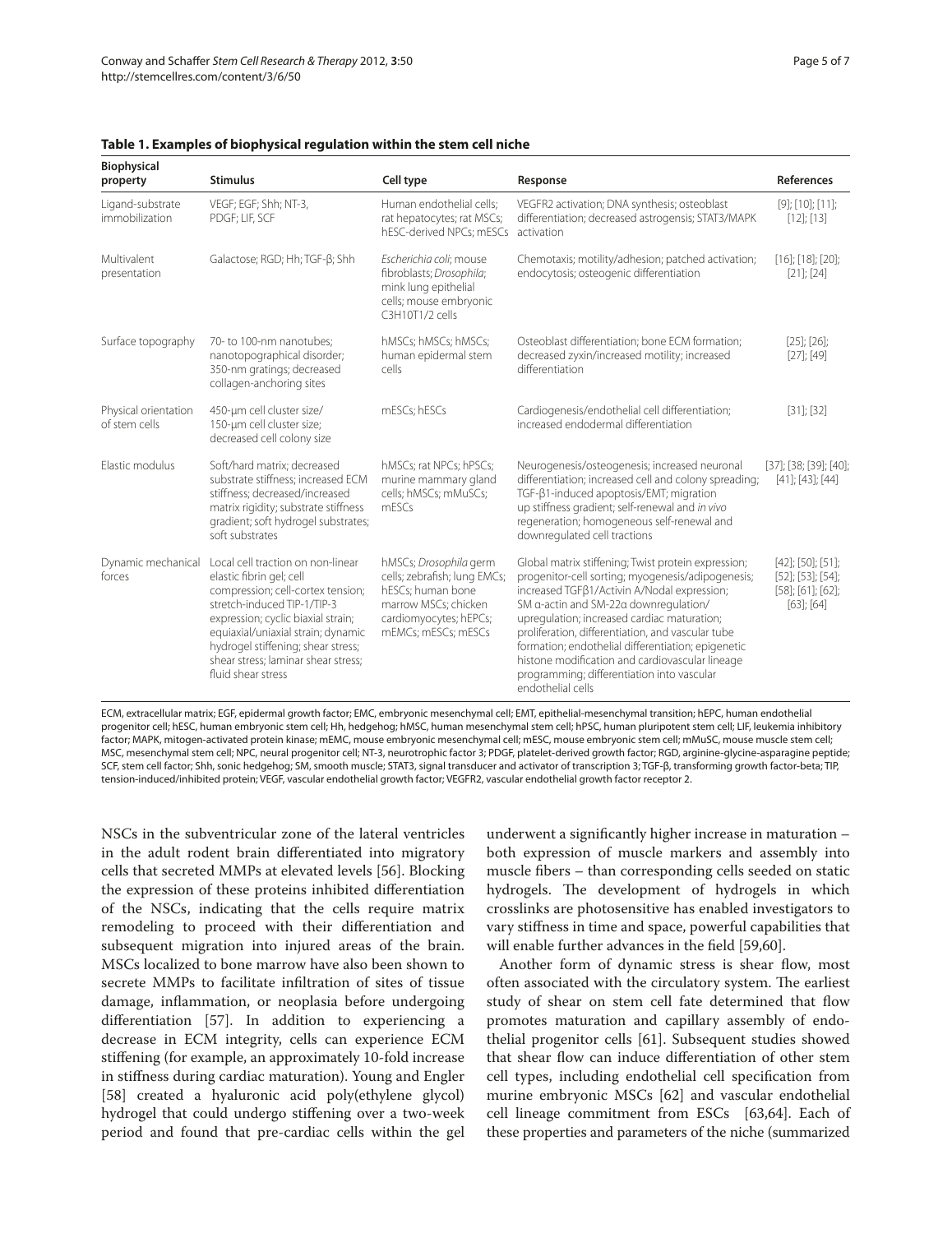| <b>Biophysical</b><br>property        | <b>Stimulus</b>                                                                                                                                                                                                                                                                                                  | Cell type                                                                                                                                            | Response                                                                                                                                                                                                                                                                                                                                                                                                                                                                         | <b>References</b>                                                                       |
|---------------------------------------|------------------------------------------------------------------------------------------------------------------------------------------------------------------------------------------------------------------------------------------------------------------------------------------------------------------|------------------------------------------------------------------------------------------------------------------------------------------------------|----------------------------------------------------------------------------------------------------------------------------------------------------------------------------------------------------------------------------------------------------------------------------------------------------------------------------------------------------------------------------------------------------------------------------------------------------------------------------------|-----------------------------------------------------------------------------------------|
| Ligand-substrate<br>immobilization    | VEGF; EGF; Shh; NT-3,<br>PDGF; LIF, SCF                                                                                                                                                                                                                                                                          | Human endothelial cells;<br>rat hepatocytes; rat MSCs;<br>hESC-derived NPCs: mESCs                                                                   | VEGFR2 activation; DNA synthesis; osteoblast<br>differentiation; decreased astrogensis; STAT3/MAPK<br>activation                                                                                                                                                                                                                                                                                                                                                                 | $[9]$ ; [10]; [11];<br>$[12]$ ; [13]                                                    |
| Multivalent<br>presentation           | Galactose; RGD; Hh; TGF-B; Shh                                                                                                                                                                                                                                                                                   | Escherichia coli; mouse<br>fibroblasts; Drosophila;<br>mink lung epithelial<br>cells; mouse embryonic<br>C3H10T1/2 cells                             | Chemotaxis; motility/adhesion; patched activation;<br>endocytosis; osteogenic differentiation                                                                                                                                                                                                                                                                                                                                                                                    | $[16]$ ; [18]; [20];<br>$[21]$ ; $[24]$                                                 |
| Surface topography                    | 70- to 100-nm nanotubes;<br>nanotopographical disorder;<br>350-nm gratings; decreased<br>collagen-anchoring sites                                                                                                                                                                                                | hMSCs; hMSCs; hMSCs;<br>human epidermal stem<br>cells                                                                                                | Osteoblast differentiation; bone ECM formation;<br>decreased zyxin/increased motility; increased<br>differentiation                                                                                                                                                                                                                                                                                                                                                              | $[25]$ ; $[26]$ ;<br>$[27]$ ; [49]                                                      |
| Physical orientation<br>of stem cells | 450-um cell cluster size/<br>150-um cell cluster size;<br>decreased cell colony size                                                                                                                                                                                                                             | mESCs; hESCs                                                                                                                                         | Cardiogenesis/endothelial cell differentiation;<br>increased endodermal differentiation                                                                                                                                                                                                                                                                                                                                                                                          | $[31]$ ; $[32]$                                                                         |
| Flastic modulus                       | Soft/hard matrix: decreased<br>substrate stiffness: increased ECM<br>stiffness: decreased/increased<br>matrix rigidity; substrate stiffness<br>gradient; soft hydrogel substrates;<br>soft substrates                                                                                                            | hMSCs; rat NPCs; hPSCs;<br>murine mammary gland<br>cells; hMSCs; mMuSCs;<br>mESCs                                                                    | Neurogenesis/osteogenesis; increased neuronal<br>differentiation; increased cell and colony spreading;<br>TGF-ß1-induced apoptosis/EMT; migration<br>up stiffness gradient; self-renewal and in vivo<br>regeneration; homogeneous self-renewal and<br>downregulated cell tractions                                                                                                                                                                                               | $[37]$ ; [38; [39]; [40];<br>$[41]$ ; $[43]$ ; $[44]$                                   |
| Dynamic mechanical<br>forces          | Local cell traction on non-linear<br>elastic fibrin gel; cell<br>compression; cell-cortex tension;<br>stretch-induced TIP-1/TIP-3<br>expression; cyclic biaxial strain;<br>equiaxial/uniaxial strain; dynamic<br>hydrogel stiffening; shear stress;<br>shear stress; laminar shear stress;<br>fluid shear stress | hMSCs; Drosophila germ<br>cells; zebrafish; lung EMCs;<br>hESCs; human bone<br>marrow MSCs; chicken<br>cardiomyocytes; hEPCs;<br>mEMCs; mESCs; mESCs | Global matrix stiffening; Twist protein expression;<br>progenitor-cell sorting; myogenesis/adipogenesis;<br>increased TGFß1/Activin A/Nodal expression;<br>SM a-actin and SM-22a downregulation/<br>uprequlation; increased cardiac maturation;<br>proliferation, differentiation, and vascular tube<br>formation; endothelial differentiation; epigenetic<br>histone modification and cardiovascular lineage<br>programming; differentiation into vascular<br>endothelial cells | $[42]$ ; [50]; [51];<br>$[52]$ ; [53]; [54];<br>$[58]$ ; [61]; [62];<br>$[63]$ ; $[64]$ |

|  |  | Table 1. Examples of biophysical regulation within the stem cell niche |  |  |  |  |
|--|--|------------------------------------------------------------------------|--|--|--|--|
|--|--|------------------------------------------------------------------------|--|--|--|--|

ECM, extracellular matrix; EGF, epidermal growth factor; EMC, embryonic mesenchymal cell; EMT, epithelial-mesenchymal transition; hEPC, human endothelial progenitor cell; hESC, human embryonic stem cell; Hh, hedgehog; hMSC, human mesenchymal stem cell; hPSC, human pluripotent stem cell; LIF, leukemia inhibitory factor; MAPK, mitogen-activated protein kinase; mEMC, mouse embryonic mesenchymal cell; mESC, mouse embryonic stem cell; mMuSC, mouse muscle stem cell; MSC, mesenchymal stem cell; NPC, neural progenitor cell; NT-3, neurotrophic factor 3; PDGF, platelet-derived growth factor; RGD, arginine-glycine-asparagine peptide; SCF, stem cell factor; Shh, sonic hedgehog; SM, smooth muscle; STAT3, signal transducer and activator of transcription 3; TGF-β, transforming growth factor-beta; TIP, tension-induced/inhibited protein; VEGF, vascular endothelial growth factor; VEGFR2, vascular endothelial growth factor receptor 2.

NSCs in the subventricular zone of the lateral ventricles in the adult rodent brain differentiated into migratory cells that secreted MMPs at elevated levels [56]. Blocking the expression of these proteins inhibited differentiation of the NSCs, indicating that the cells require matrix remodeling to proceed with their differentiation and subsequent migration into injured areas of the brain. MSCs localized to bone marrow have also been shown to secrete MMPs to facilitate infiltration of sites of tissue damage, inflammation, or neoplasia before undergoing differentiation [57]. In addition to experiencing a decrease in ECM integrity, cells can experience ECM stiffening (for example, an approximately 10-fold increase in stiffness during cardiac maturation). Young and Engler [58] created a hyaluronic acid poly(ethylene glycol) hydrogel that could undergo stiffening over a two-week period and found that pre-cardiac cells within the gel

underwent a significantly higher increase in maturation  $$ both expression of muscle markers and assembly into muscle fibers - than corresponding cells seeded on static hydrogels. The development of hydrogels in which crosslinks are photosensitive has enabled investigators to vary stiffness in time and space, powerful capabilities that will enable further advances in the field [59,60].

Another form of dynamic stress is shear flow, most often associated with the circulatory system. The earliest study of shear on stem cell fate determined that flow promotes maturation and capillary assembly of endothelial progenitor cells [61]. Subsequent studies showed that shear flow can induce differentiation of other stem cell types, including endothelial cell specification from murine embryonic MSCs [62] and vascular endothelial cell lineage commitment from ESCs [63,64]. Each of these properties and parameters of the niche (summarized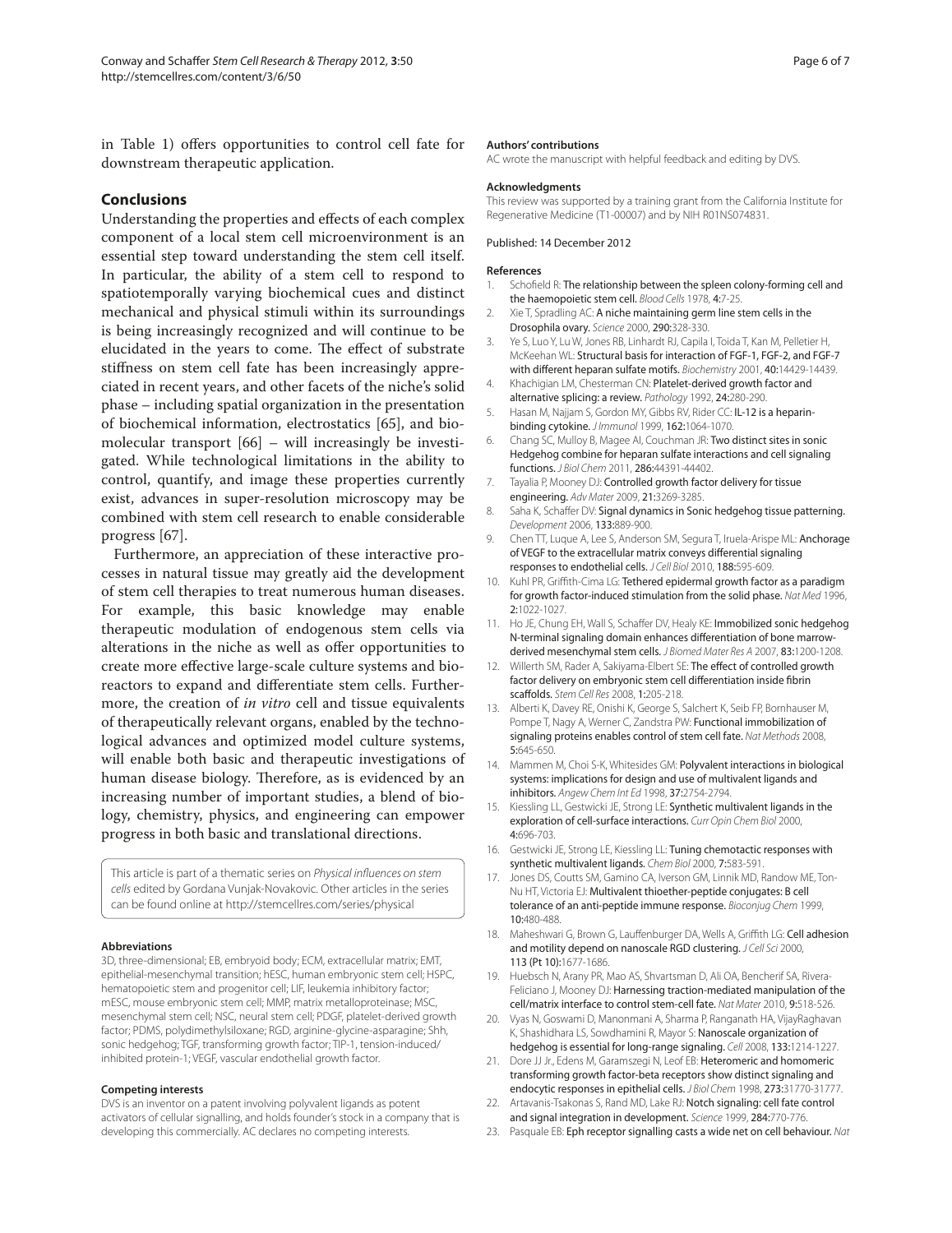in Table 1) offers opportunities to control cell fate for down stream therapeutic application.

### **Conclusions**

Understanding the properties and effects of each complex component of a local stem cell microenvironment is an essential step toward understanding the stem cell itself. In particular, the ability of a stem cell to respond to spatiotemporally varying biochemical cues and distinct mechanical and physical stimuli within its surroundings is being increasingly recognized and will continue to be elucidated in the years to come. The effect of substrate stiffness on stem cell fate has been increasingly appreciated in recent years, and other facets of the niche's solid phase – including spatial organization in the presentation of biochemical information, electrostatics [65], and biomolecular transport [66] – will increasingly be investigated. While technological limitations in the ability to control, quantify, and image these properties currently exist, advances in super-resolution microscopy may be combined with stem cell research to enable considerable progress [67].

Furthermore, an appreciation of these interactive processes in natural tissue may greatly aid the development of stem cell therapies to treat numerous human diseases. For example, this basic knowledge may enable therapeutic modulation of endogenous stem cells via alterations in the niche as well as offer opportunities to create more effective large-scale culture systems and bioreactors to expand and differentiate stem cells. Furthermore, the creation of *in vitro* cell and tissue equivalents of therapeutically relevant organs, enabled by the technological advances and optimized model culture systems, will enable both basic and therapeutic investigations of human disease biology. Therefore, as is evidenced by an increasing number of important studies, a blend of biology, chemistry, physics, and engineering can empower progress in both basic and translational directions.

This article is part of a thematic series on Physical influences on stem cells edited by Gordana Vunjak-Novakovic. Other articles in the series can be found online at http://stemcellres.com/series/physical

#### **Abbreviations**

3D, three-dimensional; EB, embryoid body; ECM, extracellular matrix; EMT, epithelial-mesenchymal transition; hESC, human embryonic stem cell; HSPC, hematopoietic stem and progenitor cell; LIF, leukemia inhibitory factor; mESC, mouse embryonic stem cell; MMP, matrix metalloproteinase; MSC, mesenchymal stem cell; NSC, neural stem cell; PDGF, platelet-derived growth factor; PDMS, polydimethylsiloxane; RGD, arginine-glycine-asparagine; Shh, sonic hedgehog; TGF, transforming growth factor; TIP-1, tension-induced/ inhibited protein-1; VEGF, vascular endothelial growth factor.

#### **Competing interests**

DVS is an inventor on a patent involving polyvalent ligands as potent activators of cellular signalling, and holds founder's stock in a company that is developing this commercially. AC declares no competing interests.

#### **Authors' contributions**

AC wrote the manuscript with helpful feedback and editing by DVS.

#### **Acknowledgments**

This review was supported by a training grant from the California Institute for Regenerative Medicine (T1-00007) and by NIH R01NS074831.

Published: 14 December 2012

#### **References**

- Schofield R: The relationship between the spleen colony-forming cell and the haemopoietic stem cell. Blood Cells 1978, 4:7-25.
- 2. Xie T, Spradling AC: A niche maintaining germ line stem cells in the Drosophila ovary. Science 2000, 290:328-330.
- Ye S, Luo Y, Lu W, Jones RB, Linhardt RJ, Capila I, Toida T, Kan M, Pelletier H, McKeehan WL: Structural basis for interaction of FGF-1, FGF-2, and FGF-7 with different heparan sulfate motifs. Biochemistry 2001, 40:14429-14439.
- Khachigian LM, Chesterman CN: Platelet-derived growth factor and alternative splicing: a review. Pathology 1992, 24:280-290.
- Hasan M, Najjam S, Gordon MY, Gibbs RV, Rider CC: IL-12 is a heparinbinding cytokine. J Immunol 1999, 162:1064-1070.
- 6. Chang SC, Mulloy B, Magee AI, Couchman JR: Two distinct sites in sonic Hedgehog combine for heparan sulfate interactions and cell signaling functions. J Biol Chem 2011, 286:44391-44402.
- 7. Tayalia P, Mooney DJ: Controlled growth factor delivery for tissue engineering. Adv Mater 2009, 21:3269-3285.
- 8. Saha K, Schaffer DV: Signal dynamics in Sonic hedgehog tissue patterning. Development 2006, 133:889-900.
- 9. Chen TT, Luque A, Lee S, Anderson SM, Segura T, Iruela-Arispe ML: Anchorage of VEGF to the extracellular matrix conveys differential signaling responses to endothelial cells. J Cell Biol 2010, 188:595-609.
- 10. Kuhl PR, Griffith-Cima LG: Tethered epidermal growth factor as a paradigm for growth factor-induced stimulation from the solid phase. Nat Med 1996, 2:1022-1027.
- 11. Ho JE, Chung EH, Wall S, Schaffer DV, Healy KE: Immobilized sonic hedgehog N-terminal signaling domain enhances differentiation of bone marrowderived mesenchymal stem cells. J Biomed Mater Res A 2007, 83:1200-1208.
- 12. Willerth SM, Rader A, Sakiyama-Elbert SE: The effect of controlled growth factor delivery on embryonic stem cell differentiation inside fibrin scaffolds. Stem Cell Res 2008, 1:205-218.
- 13. Alberti K, Davey RE, Onishi K, George S, Salchert K, Seib FP, Bornhauser M, Pompe T, Nagy A, Werner C, Zandstra PW: Functional immobilization of signaling proteins enables control of stem cell fate. Nat Methods 2008, 5:645-650.
- 14. Mammen M, Choi S-K, Whitesides GM: Polyvalent interactions in biological systems: implications for design and use of multivalent ligands and inhibitors. Angew Chem Int Ed 1998, 37:2754-2794.
- 15. Kiessling LL, Gestwicki JE, Strong LE: Synthetic multivalent ligands in the exploration of cell-surface interactions. Curr Opin Chem Biol 2000, 4:696-703.
- 16. Gestwicki JE, Strong LE, Kiessling LL: Tuning chemotactic responses with synthetic multivalent ligands. Chem Biol 2000, 7:583-591.
- 17. Jones DS, Coutts SM, Gamino CA, Iverson GM, Linnik MD, Randow ME, Ton-Nu HT, Victoria EJ: Multivalent thioether-peptide conjugates: B cell tolerance of an anti-peptide immune response. Bioconjug Chem 1999, 10:480-488.
- 18. Maheshwari G, Brown G, Lauffenburger DA, Wells A, Griffith LG: Cell adhesion and motility depend on nanoscale RGD clustering. J Cell Sci 2000, 113 (Pt 10):1677-1686.
- 19. Huebsch N, Arany PR, Mao AS, Shvartsman D, Ali OA, Bencherif SA, Rivera-Feliciano J, Mooney DJ: Harnessing traction-mediated manipulation of the cell/matrix interface to control stem-cell fate. Nat Mater 2010, 9:518-526.
- 20. Vyas N, Goswami D, Manonmani A, Sharma P, Ranganath HA, VijayRaghavan K, Shashidhara LS, Sowdhamini R, Mayor S: Nanoscale organization of hedgehog is essential for long-range signaling. Cell 2008, 133:1214-1227.
- 21. Dore JJ Jr., Edens M, Garamszegi N, Leof EB: Heteromeric and homomeric transforming growth factor-beta receptors show distinct signaling and endocytic responses in epithelial cells. J Biol Chem 1998, 273:31770-31777.
- 22. Artavanis-Tsakonas S, Rand MD, Lake RJ: Notch signaling: cell fate control and signal integration in development. Science 1999, 284:770-776.
- 23. Pasquale EB: Eph receptor signalling casts a wide net on cell behaviour. Nat